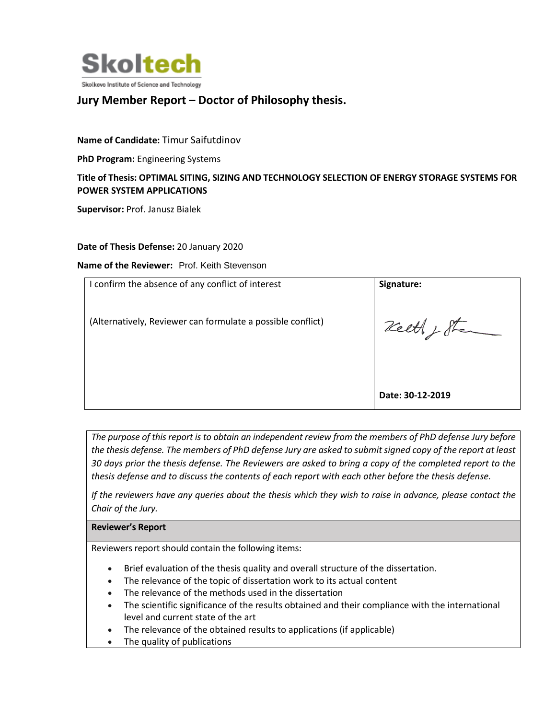

# **Jury Member Report – Doctor of Philosophy thesis.**

**Name of Candidate:** Timur Saifutdinov

**PhD Program:** Engineering Systems

## **Title of Thesis: OPTIMAL SITING, SIZING AND TECHNOLOGY SELECTION OF ENERGY STORAGE SYSTEMS FOR POWER SYSTEM APPLICATIONS**

**Supervisor:** Prof. Janusz Bialek

#### **Date of Thesis Defense:** 20 January 2020

**Name of the Reviewer:** Prof. Keith Stevenson

| I confirm the absence of any conflict of interest           | Signature:       |
|-------------------------------------------------------------|------------------|
| (Alternatively, Reviewer can formulate a possible conflict) | reeth , Stand    |
|                                                             | Date: 30-12-2019 |

*The purpose of this report is to obtain an independent review from the members of PhD defense Jury before the thesis defense. The members of PhD defense Jury are asked to submit signed copy of the report at least 30 days prior the thesis defense. The Reviewers are asked to bring a copy of the completed report to the thesis defense and to discuss the contents of each report with each other before the thesis defense.* 

*If the reviewers have any queries about the thesis which they wish to raise in advance, please contact the Chair of the Jury.*

#### **Reviewer's Report**

Reviewers report should contain the following items:

- Brief evaluation of the thesis quality and overall structure of the dissertation.
- The relevance of the topic of dissertation work to its actual content
- The relevance of the methods used in the dissertation
- The scientific significance of the results obtained and their compliance with the international level and current state of the art
- The relevance of the obtained results to applications (if applicable)
- The quality of publications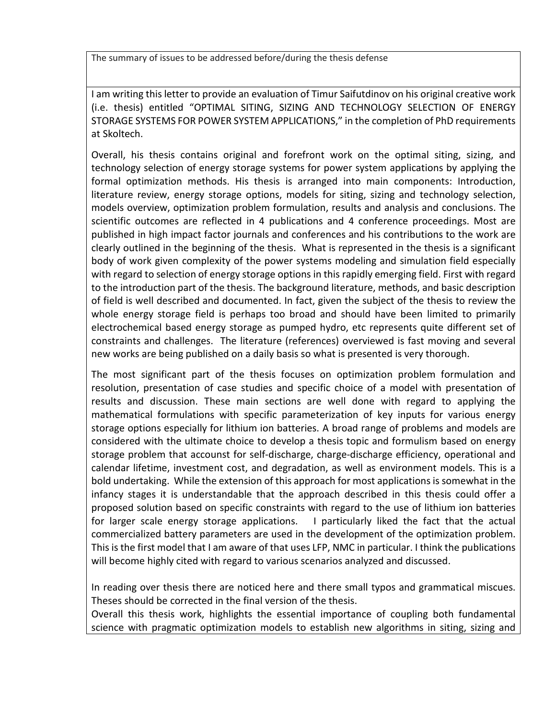The summary of issues to be addressed before/during the thesis defense

I am writing this letter to provide an evaluation of Timur Saifutdinov on his original creative work (i.e. thesis) entitled "OPTIMAL SITING, SIZING AND TECHNOLOGY SELECTION OF ENERGY STORAGE SYSTEMS FOR POWER SYSTEM APPLICATIONS," in the completion of PhD requirements at Skoltech.

Overall, his thesis contains original and forefront work on the optimal siting, sizing, and technology selection of energy storage systems for power system applications by applying the formal optimization methods. His thesis is arranged into main components: Introduction, literature review, energy storage options, models for siting, sizing and technology selection, models overview, optimization problem formulation, results and analysis and conclusions. The scientific outcomes are reflected in 4 publications and 4 conference proceedings. Most are published in high impact factor journals and conferences and his contributions to the work are clearly outlined in the beginning of the thesis. What is represented in the thesis is a significant body of work given complexity of the power systems modeling and simulation field especially with regard to selection of energy storage options in this rapidly emerging field. First with regard to the introduction part of the thesis. The background literature, methods, and basic description of field is well described and documented. In fact, given the subject of the thesis to review the whole energy storage field is perhaps too broad and should have been limited to primarily electrochemical based energy storage as pumped hydro, etc represents quite different set of constraints and challenges. The literature (references) overviewed is fast moving and several new works are being published on a daily basis so what is presented is very thorough.

The most significant part of the thesis focuses on optimization problem formulation and resolution, presentation of case studies and specific choice of a model with presentation of results and discussion. These main sections are well done with regard to applying the mathematical formulations with specific parameterization of key inputs for various energy storage options especially for lithium ion batteries. A broad range of problems and models are considered with the ultimate choice to develop a thesis topic and formulism based on energy storage problem that accounst for self-discharge, charge-discharge efficiency, operational and calendar lifetime, investment cost, and degradation, as well as environment models. This is a bold undertaking. While the extension of this approach for most applications is somewhat in the infancy stages it is understandable that the approach described in this thesis could offer a proposed solution based on specific constraints with regard to the use of lithium ion batteries for larger scale energy storage applications. I particularly liked the fact that the actual commercialized battery parameters are used in the development of the optimization problem. This is the first model that I am aware of that uses LFP, NMC in particular. I think the publications will become highly cited with regard to various scenarios analyzed and discussed.

In reading over thesis there are noticed here and there small typos and grammatical miscues. Theses should be corrected in the final version of the thesis.

Overall this thesis work, highlights the essential importance of coupling both fundamental science with pragmatic optimization models to establish new algorithms in siting, sizing and